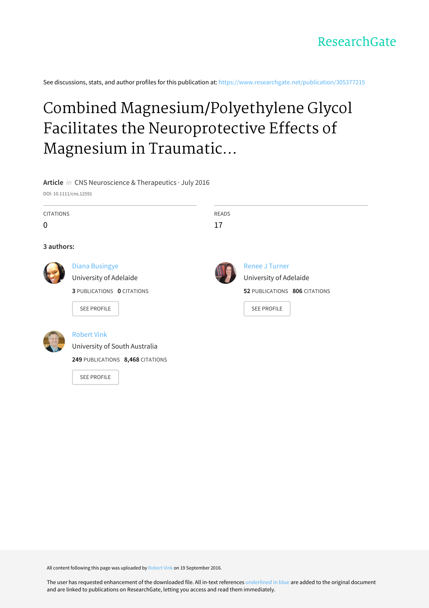See discussions, stats, and author profiles for this publication at: [https://www.researchgate.net/publication/305377215](https://www.researchgate.net/publication/305377215_Combined_MagnesiumPolyethylene_Glycol_Facilitates_the_Neuroprotective_Effects_of_Magnesium_in_Traumatic_Brain_Injury_at_a_Reduced_Magnesium_Dose?enrichId=rgreq-c6bc82c66a48ce7c5fd3468f07520988-XXX&enrichSource=Y292ZXJQYWdlOzMwNTM3NzIxNTtBUzo0MDc4MjM4ODExMjk5ODRAMTQ3NDI0NDE5ODE3Mg%3D%3D&el=1_x_2&_esc=publicationCoverPdf)

# Combined Magnesium/Polyethylene Glycol Facilitates the Neuroprotective Effects of Magnesium in Traumatic...

# **Article** in CNS Neuroscience & Therapeutics · July 2016

DOI: 10.1111/cns.12591

| <b>CITATIONS</b> |                                                                                                            | <b>READS</b> |                                                                                                        |
|------------------|------------------------------------------------------------------------------------------------------------|--------------|--------------------------------------------------------------------------------------------------------|
| 0                |                                                                                                            | 17           |                                                                                                        |
| 3 authors:       |                                                                                                            |              |                                                                                                        |
|                  | <b>Diana Busingye</b><br>University of Adelaide<br><b>3 PUBLICATIONS 0 CITATIONS</b><br><b>SEE PROFILE</b> |              | <b>Renee J Turner</b><br>University of Adelaide<br>52 PUBLICATIONS 806 CITATIONS<br><b>SEE PROFILE</b> |
|                  |                                                                                                            |              |                                                                                                        |



# [Robert](https://www.researchgate.net/profile/Robert_Vink?enrichId=rgreq-c6bc82c66a48ce7c5fd3468f07520988-XXX&enrichSource=Y292ZXJQYWdlOzMwNTM3NzIxNTtBUzo0MDc4MjM4ODExMjk5ODRAMTQ3NDI0NDE5ODE3Mg%3D%3D&el=1_x_5&_esc=publicationCoverPdf) Vink

[University](https://www.researchgate.net/institution/University_of_South_Australia2?enrichId=rgreq-c6bc82c66a48ce7c5fd3468f07520988-XXX&enrichSource=Y292ZXJQYWdlOzMwNTM3NzIxNTtBUzo0MDc4MjM4ODExMjk5ODRAMTQ3NDI0NDE5ODE3Mg%3D%3D&el=1_x_6&_esc=publicationCoverPdf) of South Australia

**249** PUBLICATIONS **8,468** CITATIONS

SEE [PROFILE](https://www.researchgate.net/profile/Robert_Vink?enrichId=rgreq-c6bc82c66a48ce7c5fd3468f07520988-XXX&enrichSource=Y292ZXJQYWdlOzMwNTM3NzIxNTtBUzo0MDc4MjM4ODExMjk5ODRAMTQ3NDI0NDE5ODE3Mg%3D%3D&el=1_x_7&_esc=publicationCoverPdf)

All content following this page was uploaded by [Robert](https://www.researchgate.net/profile/Robert_Vink?enrichId=rgreq-c6bc82c66a48ce7c5fd3468f07520988-XXX&enrichSource=Y292ZXJQYWdlOzMwNTM3NzIxNTtBUzo0MDc4MjM4ODExMjk5ODRAMTQ3NDI0NDE5ODE3Mg%3D%3D&el=1_x_10&_esc=publicationCoverPdf) Vink on 19 September 2016.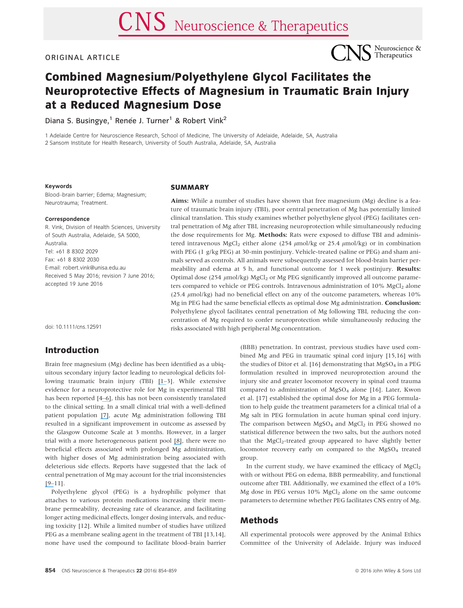#### ORIGINAL ARTICLE



# Combined Magnesium/Polyethylene Glycol Facilitates the Neuroprotective Effects of Magnesium in Traumatic Brain Injury at a Reduced Magnesium Dose

Diana S. Busingye,<sup>1</sup> Renée J. Turner<sup>1</sup> & Robert Vink<sup>2</sup>

1 Adelaide Centre for Neuroscience Research, School of Medicine, The University of Adelaide, Adelaide, SA, Australia 2 Sansom Institute for Health Research, University of South Australia, Adelaide, SA, Australia

#### Keywords

Blood–brain barrier; Edema; Magnesium; Neurotrauma; Treatment.

#### Correspondence

R. Vink, Division of Health Sciences, University of South Australia, Adelaide, SA 5000, Australia. Tel: +61 8 8302 2029 Fax: +61 8 8302 2030 E-mail: robert.vink@unisa.edu.au Received 5 May 2016; revision 7 June 2016; accepted 19 June 2016

doi: 10.1111/cns.12591

## Introduction

Brain free magnesium (Mg) decline has been identified as a ubiquitous secondary injury factor leading to neurological deficits following traumatic brain injury (TBI) [\[1](https://www.researchgate.net/publication/19819839_Decline_in_intracellular_free_Mg2_is_associated_with_irreversible_tissue_injury_after_brain_trauma?el=1_x_8&enrichId=rgreq-c6bc82c66a48ce7c5fd3468f07520988-XXX&enrichSource=Y292ZXJQYWdlOzMwNTM3NzIxNTtBUzo0MDc4MjM4ODExMjk5ODRAMTQ3NDI0NDE5ODE3Mg==)[–](https://www.researchgate.net/publication/12398266_Regulation_of_intracellular_free_magnesium_in_central_nervous_system_injury?el=1_x_8&enrichId=rgreq-c6bc82c66a48ce7c5fd3468f07520988-XXX&enrichSource=Y292ZXJQYWdlOzMwNTM3NzIxNTtBUzo0MDc4MjM4ODExMjk5ODRAMTQ3NDI0NDE5ODE3Mg==)3]. While extensive evidence for a neuroprotective role for Mg in experimental TBI has been reported [4[–](https://www.researchgate.net/publication/6161036_Novel_therapies_in_development_for_the_treatment_of_traumatic_brain_injury?el=1_x_8&enrichId=rgreq-c6bc82c66a48ce7c5fd3468f07520988-XXX&enrichSource=Y292ZXJQYWdlOzMwNTM3NzIxNTtBUzo0MDc4MjM4ODExMjk5ODRAMTQ3NDI0NDE5ODE3Mg==)[6\]](https://www.researchgate.net/publication/41404442_Use_of_Magnesium_in_Traumatic_Brain_Injury?el=1_x_8&enrichId=rgreq-c6bc82c66a48ce7c5fd3468f07520988-XXX&enrichSource=Y292ZXJQYWdlOzMwNTM3NzIxNTtBUzo0MDc4MjM4ODExMjk5ODRAMTQ3NDI0NDE5ODE3Mg==), this has not been consistently translated to the clinical setting. In a small clinical trial with a well-defined patient population [\[7\]](https://www.researchgate.net/publication/26517090_Randomized_controlled_trial_of_magnesium_sulphate_in_severe_closed_traumatic_brain_injury?el=1_x_8&enrichId=rgreq-c6bc82c66a48ce7c5fd3468f07520988-XXX&enrichSource=Y292ZXJQYWdlOzMwNTM3NzIxNTtBUzo0MDc4MjM4ODExMjk5ODRAMTQ3NDI0NDE5ODE3Mg==), acute Mg administration following TBI resulted in a significant improvement in outcome as assessed by the Glasgow Outcome Scale at 3 months. However, in a larger trial with a more heterogeneous patient pool [\[8\]](https://www.researchgate.net/publication/6323954_Magnesium_for_neuroprotection_after_traumatic_brain_injury?el=1_x_8&enrichId=rgreq-c6bc82c66a48ce7c5fd3468f07520988-XXX&enrichSource=Y292ZXJQYWdlOzMwNTM3NzIxNTtBUzo0MDc4MjM4ODExMjk5ODRAMTQ3NDI0NDE5ODE3Mg==), there were no beneficial effects associated with prolonged Mg administration, with higher doses of Mg administration being associated with deleterious side effects. Reports have suggested that the lack of central penetration of Mg may account for the trial inconsistencies [\[9](https://www.researchgate.net/publication/6478318_Neuroprotection_in_traumatic_brain_injury_A_complex_struggle_against_the_biology_of_nature?el=1_x_8&enrichId=rgreq-c6bc82c66a48ce7c5fd3468f07520988-XXX&enrichSource=Y292ZXJQYWdlOzMwNTM3NzIxNTtBUzo0MDc4MjM4ODExMjk5ODRAMTQ3NDI0NDE5ODE3Mg==)[–](https://www.researchgate.net/publication/6129369_Serum_and_Cerebrospinal_Fluid_Magnesium_in_Severe_Traumatic_Brain_Injury_Outcome?el=1_x_8&enrichId=rgreq-c6bc82c66a48ce7c5fd3468f07520988-XXX&enrichSource=Y292ZXJQYWdlOzMwNTM3NzIxNTtBUzo0MDc4MjM4ODExMjk5ODRAMTQ3NDI0NDE5ODE3Mg==)11].

Polyethylene glycol (PEG) is a hydrophilic polymer that attaches to various protein medications increasing their membrane permeability, decreasing rate of clearance, and facilitating longer acting medicinal effects, longer dosing intervals, and reducing toxicity [12]. While a limited number of studies have utilized PEG as a membrane sealing agent in the treatment of TBI [13,14], none have used the compound to facilitate blood–brain barrier

#### **SUMMARY**

Aims: While a number of studies have shown that free magnesium (Mg) decline is a feature of traumatic brain injury (TBI), poor central penetration of Mg has potentially limited clinical translation. This study examines whether polyethylene glycol (PEG) facilitates central penetration of Mg after TBI, increasing neuroprotection while simultaneously reducing the dose requirements for Mg. Methods: Rats were exposed to diffuse TBI and administered intravenous MgCl<sub>2</sub> either alone (254  $\mu$ mol/kg or 25.4  $\mu$ mol/kg) or in combination with PEG (1 g/kg PEG) at 30-min postinjury. Vehicle-treated (saline or PEG) and sham animals served as controls. All animals were subsequently assessed for blood-brain barrier permeability and edema at 5 h, and functional outcome for 1 week postinjury. Results: Optimal dose (254  $\mu$ mol/kg) MgCl<sub>2</sub> or Mg PEG significantly improved all outcome parameters compared to vehicle or PEG controls. Intravenous administration of 10% MgCl<sub>2</sub> alone (25.4  $\mu$ mol/kg) had no beneficial effect on any of the outcome parameters, whereas 10% Mg in PEG had the same beneficial effects as optimal dose Mg administration. Conclusion: Polyethylene glycol facilitates central penetration of Mg following TBI, reducing the concentration of Mg required to confer neuroprotection while simultaneously reducing the risks associated with high peripheral Mg concentration.

> (BBB) penetration. In contrast, previous studies have used combined Mg and PEG in traumatic spinal cord injury [15,16] with the studies of Ditor et al. [16] demonstrating that  $MgSO<sub>4</sub>$  in a PEG formulation resulted in improved neuroprotection around the injury site and greater locomotor recovery in spinal cord trauma compared to administration of  $MgSO<sub>4</sub>$  alone [16]. Later, Kwon et al. [17] established the optimal dose for Mg in a PEG formulation to help guide the treatment parameters for a clinical trial of a Mg salt in PEG formulation in acute human spinal cord injury. The comparison between  $MgSO_4$  and  $MgCl_2$  in PEG showed no statistical difference between the two salts, but the authors noted that the MgCl<sub>2</sub>-treated group appeared to have slightly better locomotor recovery early on compared to the  $MgSO<sub>4</sub>$  treated group.

> In the current study, we have examined the efficacy of  $MgCl<sub>2</sub>$ with or without PEG on edema, BBB permeability, and functional outcome after TBI. Additionally, we examined the effect of a 10% Mg dose in PEG versus  $10\%$  MgCl<sub>2</sub> alone on the same outcome parameters to determine whether PEG facilitates CNS entry of Mg.

## Methods

All experimental protocols were approved by the Animal Ethics Committee of the University of Adelaide. Injury was induced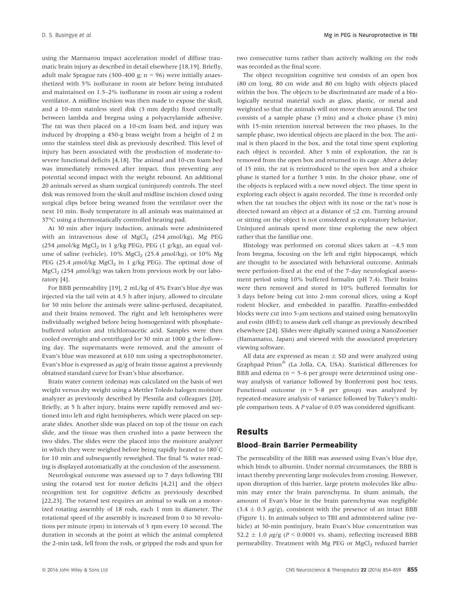using the Marmarou impact acceleration model of diffuse traumatic brain injury as described in detail elsewhere [18,19]. Briefly, adult male Sprague rats (300–400 g;  $n = 96$ ) were initially anaesthetized with 5% isoflurane in room air before being intubated and maintained on 1.5–2% isoflurane in room air using a rodent ventilator. A midline incision was then made to expose the skull, and a 10-mm stainless steel disk (3 mm depth) fixed centrally between lambda and bregma using a polyacrylamide adhesive. The rat was then placed on a 10-cm foam bed, and injury was induced by dropping a 450-g brass weight from a height of 2 m onto the stainless steel disk as previously described. This level of injury has been associated with the production of moderate-tosevere functional deficits [4,18]. The animal and 10-cm foam bed was immediately removed after impact, thus preventing any potential second impact with the weight rebound. An additional 20 animals served as sham surgical (uninjured) controls. The steel disk was removed from the skull and midline incision closed using surgical clips before being weaned from the ventilator over the next 10 min. Body temperature in all animals was maintained at 37°C using a thermostatically controlled heating pad.

At 30 min after injury induction, animals were administered with an intravenous dose of MgCl<sub>2</sub> (254  $\mu$ mol/kg), Mg PEG (254  $\mu$ mol/kg MgCl<sub>2</sub> in 1 g/kg PEG), PEG (1 g/kg), an equal volume of saline (vehicle),  $10\% \text{ MgCl}_2$  (25.4  $\mu \text{mol/kg}$ ), or  $10\% \text{ Mg}$ PEG (25.4  $\mu$ mol/kg MgCl<sub>2</sub> in 1 g/kg PEG). The optimal dose of MgCl<sub>2</sub> (254  $\mu$ mol/kg) was taken from previous work by our laboratory [4].

For BBB permeability [19], 2 mL/kg of 4% Evan's blue dye was injected via the tail vein at 4.5 h after injury, allowed to circulate for 30 min before the animals were saline-perfused, decapitated, and their brains removed. The right and left hemispheres were individually weighed before being homogenized with phosphatebuffered solution and trichloroacetic acid. Samples were then cooled overnight and centrifuged for 30 min at 1000 g the following day. The supernatants were removed, and the amount of Evan's blue was measured at 610 nm using a spectrophotometer. Evan's blue is expressed as  $\mu$ g/g of brain tissue against a previously obtained standard curve for Evan's blue absorbance.

Brain water content (edema) was calculated on the basis of wet weight versus dry weight using a Mettler Toledo halogen moisture analyzer as previously described by Plesnila and colleagues [20]. Briefly, at 5 h after injury, brains were rapidly removed and sectioned into left and right hemispheres, which were placed on separate slides. Another slide was placed on top of the tissue on each slide, and the tissue was then crushed into a paste between the two slides. The slides were the placed into the moisture analyzer in which they were weighed before being rapidly heated to 180° C for 10 min and subsequently reweighed. The final % water reading is displayed automatically at the conclusion of the assessment.

Neurological outcome was assessed up to 7 days following TBI using the rotarod test for motor deficits [4,21] and the object recognition test for cognitive deficits as previously described [22,23]. The rotarod test requires an animal to walk on a motorized rotating assembly of 18 rods, each 1 mm in diameter. The rotational speed of the assembly is increased from 0 to 30 revolutions per minute (rpm) in intervals of 3 rpm every 10 second. The duration in seconds at the point at which the animal completed the 2-min task, fell from the rods, or gripped the rods and spun for two consecutive turns rather than actively walking on the rods was recorded as the final score.

The object recognition cognitive test consists of an open box (80 cm long, 80 cm wide and 80 cm high) with objects placed within the box. The objects to be discriminated are made of a biologically neutral material such as glass, plastic, or metal and weighted so that the animals will not move them around. The test consists of a sample phase (3 min) and a choice phase (3 min) with 15-min retention interval between the two phases. In the sample phase, two identical objects are placed in the box. The animal is then placed in the box, and the total time spent exploring each object is recorded. After 3 min of exploration, the rat is removed from the open box and returned to its cage. After a delay of 15 min, the rat is reintroduced to the open box and a choice phase is started for a further 3 min. In the choice phase, one of the objects is replaced with a new novel object. The time spent in exploring each object is again recorded. The time is recorded only when the rat touches the object with its nose or the rat's nose is directed toward an object at a distance of ≤2 cm. Turning around or sitting on the object is not considered as exploratory behavior. Uninjured animals spend more time exploring the new object rather that the familiar one.

Histology was performed on coronal slices taken at  $-4.5$  mm from bregma, focusing on the left and right hippocampi, which are thought to be associated with behavioral outcome. Animals were perfusion-fixed at the end of the 7-day neurological assessment period using 10% buffered formalin (pH 7.4). Their brains were then removed and stored in 10% buffered formalin for 3 days before being cut into 2-mm coronal slices, using a Kopf rodent blocker, and embedded in paraffin. Paraffin-embedded blocks were cut into  $5-\mu m$  sections and stained using hematoxylin and eosin (H&E) to assess dark cell change as previously described elsewhere [24]. Slides were digitally scanned using a NanoZoomer (Hamamatsu, Japan) and viewed with the associated proprietary viewing software.

All data are expressed as mean  $\pm$  SD and were analyzed using Graphpad Prism® (La Jolla, CA, USA). Statistical differences for BBB and edema ( $n = 5-6$  per group) were determined using oneway analysis of variance followed by Bonferroni post hoc tests. Functional outcome ( $n = 5-8$  per group) was analyzed by repeated-measure analysis of variance followed by Tukey's multiple comparison tests. A P value of 0.05 was considered significant.

#### Results

#### Blood–Brain Barrier Permeability

The permeability of the BBB was assessed using Evan's blue dye, which binds to albumin. Under normal circumstances, the BBB is intact thereby preventing large molecules from crossing. However, upon disruption of this barrier, large protein molecules like albumin may enter the brain parenchyma. In sham animals, the amount of Evan's blue in the brain parenchyma was negligible  $(3.4 \pm 0.3 \text{ µg/g})$ , consistent with the presence of an intact BBB (Figure 1). In animals subject to TBI and administered saline (vehicle) at 30-min postinjury, brain Evan's blue concentration was 52.2  $\pm$  1.0  $\mu$ g/g (P < 0.0001 vs. sham), reflecting increased BBB permeability. Treatment with Mg PEG or MgCl<sub>2</sub> reduced barrier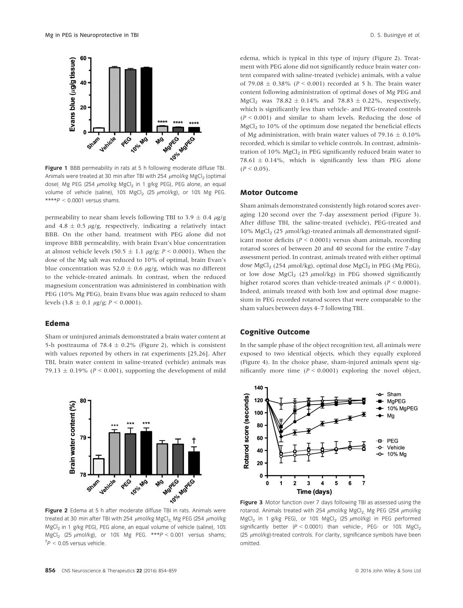

Figure 1 BBB permeability in rats at 5 h following moderate diffuse TBI. Animals were treated at 30 min after TBI with 254  $\mu$ mol/kg MgCl<sub>2</sub> (optimal dose), Mg PEG (254  $\mu$ mol/kg MgCl<sub>2</sub> in 1 g/kg PEG), PEG alone, an equal volume of vehicle (saline), 10% MgCl<sub>2</sub> (25  $\mu$ mol/kg), or 10% Mg PEG.  $***P < 0.0001$  versus shams.

permeability to near sham levels following TBI to 3.9  $\pm$  0.4  $\mu$ g/g and 4.8  $\pm$  0.5  $\mu$ g/g, respectively, indicating a relatively intact BBB. On the other hand, treatment with PEG alone did not improve BBB permeability, with brain Evan's blue concentration at almost vehicle levels (50.5  $\pm$  1.1  $\mu$ g/g; P < 0.0001). When the dose of the Mg salt was reduced to 10% of optimal, brain Evan's blue concentration was 52.0  $\pm$  0.6  $\mu$ g/g, which was no different to the vehicle-treated animals. In contrast, when the reduced magnesium concentration was administered in combination with PEG (10% Mg PEG), brain Evans blue was again reduced to sham levels  $(3.8 \pm 0.1 \mu g/g; P \le 0.0001)$ .

#### Edema

Sham or uninjured animals demonstrated a brain water content at 5-h posttrauma of 78.4  $\pm$  0.2% (Figure 2), which is consistent with values reported by others in rat experiments [25,26]. After TBI, brain water content in saline-treated (vehicle) animals was 79.13  $\pm$  0.19% (P < 0.001), supporting the development of mild



treated at 30 min after TBI with 254  $\mu$ mol/kg MgCl<sub>2</sub>. Mg PEG (254  $\mu$ mol/kg MgCl<sub>2</sub> in 1 g/kg PEG), PEG alone, an equal volume of vehicle (saline), 10% MgCl<sub>2</sub> (25  $\mu$ mol/kg), or 10% Mg PEG. \*\*\*P < 0.001 versus shams;  $\Delta t$  = 0.05 versus vehicle.

edema, which is typical in this type of injury (Figure 2). Treatment with PEG alone did not significantly reduce brain water content compared with saline-treated (vehicle) animals, with a value of 79.08  $\pm$  0.38% (P < 0.001) recorded at 5 h. The brain water content following administration of optimal doses of Mg PEG and MgCl<sub>2</sub> was  $78.82 \pm 0.14\%$  and  $78.83 \pm 0.22\%$ , respectively, which is significantly less than vehicle- and PEG-treated controls  $(P < 0.001)$  and similar to sham levels. Reducing the dose of  $MgCl<sub>2</sub>$  to 10% of the optimum dose negated the beneficial effects of Mg administration, with brain water values of 79.16  $\pm$  0.10% recorded, which is similar to vehicle controls. In contrast, administration of 10% MgCl<sub>2</sub> in PEG significantly reduced brain water to 78.61  $\pm$  0.14%, which is significantly less than PEG alone  $(P < 0.05)$ .

#### Motor Outcome

Sham animals demonstrated consistently high rotarod scores averaging 120 second over the 7-day assessment period (Figure 3). After diffuse TBI, the saline-treated (vehicle), PEG-treated and 10% MgCl<sub>2</sub> (25  $\mu$ mol/kg)-treated animals all demonstrated significant motor deficits ( $P < 0.0001$ ) versus sham animals, recording rotarod scores of between 20 and 40 second for the entire 7-day assessment period. In contrast, animals treated with either optimal dose MgCl<sub>2</sub> (254  $\mu$ mol/kg), optimal dose MgCl<sub>2</sub> in PEG (Mg PEG), or low dose  $MgCl<sub>2</sub>$  (25  $\mu$ mol/kg) in PEG showed significantly higher rotarod scores than vehicle-treated animals  $(P < 0.0001)$ . Indeed, animals treated with both low and optimal dose magnesium in PEG recorded rotarod scores that were comparable to the sham values between days 4–7 following TBI.

#### Cognitive Outcome

In the sample phase of the object recognition test, all animals were exposed to two identical objects, which they equally explored (Figure 4). In the choice phase, sham-injured animals spent significantly more time  $(P < 0.0001)$  exploring the novel object,



Figure 3 Motor function over 7 days following TBI as assessed using the rotarod. Animals treated with 254  $\mu$ mol/kg MgCl<sub>2</sub>, Mg PEG (254  $\mu$ mol/kg MgCl<sub>2</sub> in 1 g/kg PEG), or 10% MgCl<sub>2</sub> (25  $\mu$ mol/kg) in PEG performed significantly better  $(P < 0.0001)$  than vehicle-, PEG- or 10% MgCl<sub>2</sub> (25  $\mu$ mol/kg)-treated controls. For clarity, significance symbols have been omitted.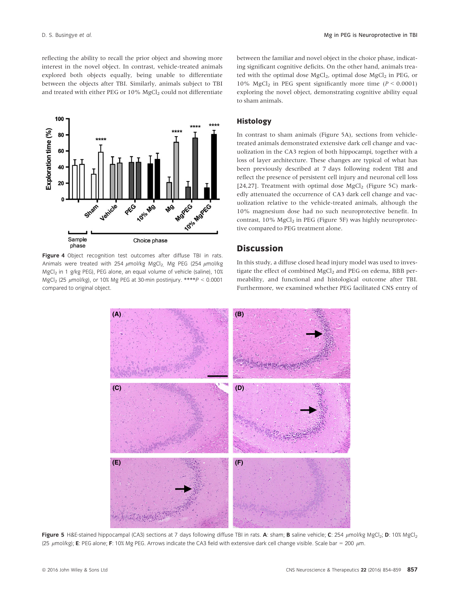reflecting the ability to recall the prior object and showing more interest in the novel object. In contrast, vehicle-treated animals explored both objects equally, being unable to differentiate between the objects after TBI. Similarly, animals subject to TBI and treated with either PEG or 10% MgCl<sub>2</sub> could not differentiate



Figure 4 Object recognition test outcomes after diffuse TBI in rats. Animals were treated with 254  $\mu$ mol/kg MgCl<sub>2,</sub> Mg PEG (254  $\mu$ mol/kg  $MgCl<sub>2</sub>$  in 1 g/kg PEG), PEG alone, an equal volume of vehicle (saline), 10% MgCl<sub>2</sub> (25  $\mu$ mol/kg), or 10% Mg PEG at 30-min postinjury. \*\*\*\*P < 0.0001 compared to original object.

between the familiar and novel object in the choice phase, indicating significant cognitive deficits. On the other hand, animals treated with the optimal dose MgCl<sub>2</sub>, optimal dose MgCl<sub>2</sub> in PEG, or 10% MgCl<sub>2</sub> in PEG spent significantly more time ( $P < 0.0001$ ) exploring the novel object, demonstrating cognitive ability equal to sham animals.

#### Histology

In contrast to sham animals (Figure 5A), sections from vehicletreated animals demonstrated extensive dark cell change and vacuolization in the CA3 region of both hippocampi, together with a loss of layer architecture. These changes are typical of what has been previously described at 7 days following rodent TBI and reflect the presence of persistent cell injury and neuronal cell loss [24,27]. Treatment with optimal dose  $MgCl<sub>2</sub>$  (Figure 5C) markedly attenuated the occurrence of CA3 dark cell change and vacuolization relative to the vehicle-treated animals, although the 10% magnesium dose had no such neuroprotective benefit. In contrast,  $10\%$  MgCl<sub>2</sub> in PEG (Figure 5F) was highly neuroprotective compared to PEG treatment alone.

#### **Discussion**

In this study, a diffuse closed head injury model was used to investigate the effect of combined MgCl<sub>2</sub> and PEG on edema, BBB permeability, and functional and histological outcome after TBI. Furthermore, we examined whether PEG facilitated CNS entry of



Figure 5 H&E-stained hippocampal (CA3) sections at 7 days following diffuse TBI in rats. A: sham; B saline vehicle; C: 254  $\mu$ mol/kg MgCl<sub>2</sub>; D: 10% MgCl<sub>2</sub> (25  $\mu$ mol/kg); E: PEG alone; F: 10% Mg PEG. Arrows indicate the CA3 field with extensive dark cell change visible. Scale bar = 200  $\mu$ m.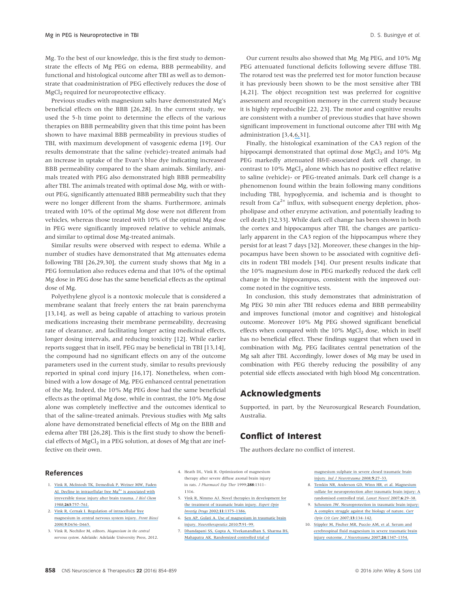Mg. To the best of our knowledge, this is the first study to demonstrate the effects of Mg PEG on edema, BBB permeability, and functional and histological outcome after TBI as well as to demonstrate that coadministration of PEG effectively reduces the dose of MgCl<sub>2</sub> required for neuroprotective efficacy.

Previous studies with magnesium salts have demonstrated Mg's beneficial effects on the BBB [26,28]. In the current study, we used the 5-h time point to determine the effects of the various therapies on BBB permeability given that this time point has been shown to have maximal BBB permeability in previous studies of TBI, with maximum development of vasogenic edema [19]. Our results demonstrate that the saline (vehicle)-treated animals had an increase in uptake of the Evan's blue dye indicating increased BBB permeability compared to the sham animals. Similarly, animals treated with PEG also demonstrated high BBB permeability after TBI. The animals treated with optimal dose Mg, with or without PEG, significantly attenuated BBB permeability such that they were no longer different from the shams. Furthermore, animals treated with 10% of the optimal Mg dose were not different from vehicles, whereas those treated with 10% of the optimal Mg dose in PEG were significantly improved relative to vehicle animals, and similar to optimal dose Mg-treated animals.

Similar results were observed with respect to edema. While a number of studies have demonstrated that Mg attenuates edema following TBI [26,29,30], the current study shows that Mg in a PEG formulation also reduces edema and that 10% of the optimal Mg dose in PEG dose has the same beneficial effects as the optimal dose of Mg.

Polyethylene glycol is a nontoxic molecule that is considered a membrane sealant that freely enters the rat brain parenchyma [13,14], as well as being capable of attaching to various protein medications increasing their membrane permeability, decreasing rate of clearance, and facilitating longer acting medicinal effects, longer dosing intervals, and reducing toxicity [12]. While earlier reports suggest that in itself, PEG may be beneficial in TBI [13,14], the compound had no significant effects on any of the outcome parameters used in the current study, similar to results previously reported in spinal cord injury [16,17]. Nonetheless, when combined with a low dosage of Mg, PEG enhanced central penetration of the Mg. Indeed, the 10% Mg PEG dose had the same beneficial effects as the optimal Mg dose, while in contrast, the 10% Mg dose alone was completely ineffective and the outcomes identical to that of the saline-treated animals. Previous studies with Mg salts alone have demonstrated beneficial effects of Mg on the BBB and edema after TBI [26,28]. This is the first study to show the beneficial effects of  $MgCl<sub>2</sub>$  in a PEG solution, at doses of  $Mg$  that are ineffective on their own.

Our current results also showed that Mg, Mg PEG, and 10% Mg PEG attenuated functional deficits following severe diffuse TBI. The rotarod test was the preferred test for motor function because it has previously been shown to be the most sensitive after TBI [4,21]. The object recognition test was preferred for cognitive assessment and recognition memory in the current study because it is highly reproducible [22, 23]. The motor and cognitive results are consistent with a number of previous studies that have shown significant improvement in functional outcome after TBI with Mg administration [3,4,[6,3](https://www.researchgate.net/publication/41404442_Use_of_Magnesium_in_Traumatic_Brain_Injury?el=1_x_8&enrichId=rgreq-c6bc82c66a48ce7c5fd3468f07520988-XXX&enrichSource=Y292ZXJQYWdlOzMwNTM3NzIxNTtBUzo0MDc4MjM4ODExMjk5ODRAMTQ3NDI0NDE5ODE3Mg==)1].

Finally, the histological examination of the CA3 region of the hippocampi demonstrated that optimal dose MgCl<sub>2</sub> and 10% Mg PEG markedly attenuated H&E-associated dark cell change, in contrast to 10% MgCl<sub>2</sub> alone which has no positive effect relative to saline (vehicle)- or PEG-treated animals. Dark cell change is a phenomenon found within the brain following many conditions including TBI, hypoglycemia, and ischemia and is thought to result from  $Ca^{2+}$  influx, with subsequent energy depletion, phospholipase and other enzyme activation, and potentially leading to cell death [32,33]. While dark cell change has been shown in both the cortex and hippocampus after TBI, the changes are particularly apparent in the CA3 region of the hippocampus where they persist for at least 7 days [32]. Moreover, these changes in the hippocampus have been shown to be associated with cognitive deficits in rodent TBI models [34]. Our present results indicate that the 10% magnesium dose in PEG markedly reduced the dark cell change in the hippocampus, consistent with the improved outcome noted in the cognitive tests.

In conclusion, this study demonstrates that administration of Mg PEG 30 min after TBI reduces edema and BBB permeability and improves functional (motor and cognitive) and histological outcome. Moreover 10% Mg PEG showed significant beneficial effects when compared with the  $10\%$  MgCl<sub>2</sub> dose, which in itself has no beneficial effect. These findings suggest that when used in combination with Mg, PEG facilitates central penetration of the Mg salt after TBI. Accordingly, lower doses of Mg may be used in combination with PEG thereby reducing the possibility of any potential side effects associated with high blood Mg concentration.

#### Acknowledgments

Supported, in part, by the Neurosurgical Research Foundation, Australia.

# Conflict of Interest

The authors declare no conflict of interest.

#### References

- 1. [Vink R, McIntosh TK, Demediuk P, Weiner MW, Faden](https://www.researchgate.net/publication/19819839_Decline_in_intracellular_free_Mg2_is_associated_with_irreversible_tissue_injury_after_brain_trauma?el=1_x_8&enrichId=rgreq-c6bc82c66a48ce7c5fd3468f07520988-XXX&enrichSource=Y292ZXJQYWdlOzMwNTM3NzIxNTtBUzo0MDc4MjM4ODExMjk5ODRAMTQ3NDI0NDE5ODE3Mg==) AI. Decline in intracellular free Mg<sup>2+</sup> is associated with [irreversible tissue injury after brain trauma.](https://www.researchgate.net/publication/19819839_Decline_in_intracellular_free_Mg2_is_associated_with_irreversible_tissue_injury_after_brain_trauma?el=1_x_8&enrichId=rgreq-c6bc82c66a48ce7c5fd3468f07520988-XXX&enrichSource=Y292ZXJQYWdlOzMwNTM3NzIxNTtBUzo0MDc4MjM4ODExMjk5ODRAMTQ3NDI0NDE5ODE3Mg==) J Biol Chem [1988;](https://www.researchgate.net/publication/19819839_Decline_in_intracellular_free_Mg2_is_associated_with_irreversible_tissue_injury_after_brain_trauma?el=1_x_8&enrichId=rgreq-c6bc82c66a48ce7c5fd3468f07520988-XXX&enrichSource=Y292ZXJQYWdlOzMwNTM3NzIxNTtBUzo0MDc4MjM4ODExMjk5ODRAMTQ3NDI0NDE5ODE3Mg==)263:757–761.
- 2. [Vink R, Cernak I. Regulation of intracellular free](https://www.researchgate.net/publication/12398266_Regulation_of_intracellular_free_magnesium_in_central_nervous_system_injury?el=1_x_8&enrichId=rgreq-c6bc82c66a48ce7c5fd3468f07520988-XXX&enrichSource=Y292ZXJQYWdlOzMwNTM3NzIxNTtBUzo0MDc4MjM4ODExMjk5ODRAMTQ3NDI0NDE5ODE3Mg==) [magnesium in central nervous system injury.](https://www.researchgate.net/publication/12398266_Regulation_of_intracellular_free_magnesium_in_central_nervous_system_injury?el=1_x_8&enrichId=rgreq-c6bc82c66a48ce7c5fd3468f07520988-XXX&enrichSource=Y292ZXJQYWdlOzMwNTM3NzIxNTtBUzo0MDc4MjM4ODExMjk5ODRAMTQ3NDI0NDE5ODE3Mg==) Front Biosci 2000;5[:D656](https://www.researchgate.net/publication/12398266_Regulation_of_intracellular_free_magnesium_in_central_nervous_system_injury?el=1_x_8&enrichId=rgreq-c6bc82c66a48ce7c5fd3468f07520988-XXX&enrichSource=Y292ZXJQYWdlOzMwNTM3NzIxNTtBUzo0MDc4MjM4ODExMjk5ODRAMTQ3NDI0NDE5ODE3Mg==)–D665.
- 3. Vink R, Nechifor M, editors. Magnesium in the central nervous system. Adelaide: Adelaide University Press, 2012.
- 4. Heath DL, Vink R. Optimization of magnesium therapy after severe diffuse axonal brain injury in rats. J Pharmacol Exp Ther 1999;288:1311– 1316.
- 5. [Vink R, Nimmo AJ. Novel therapies in development for](https://www.researchgate.net/publication/6161036_Novel_therapies_in_development_for_the_treatment_of_traumatic_brain_injury?el=1_x_8&enrichId=rgreq-c6bc82c66a48ce7c5fd3468f07520988-XXX&enrichSource=Y292ZXJQYWdlOzMwNTM3NzIxNTtBUzo0MDc4MjM4ODExMjk5ODRAMTQ3NDI0NDE5ODE3Mg==) [the treatment of traumatic brain injury.](https://www.researchgate.net/publication/6161036_Novel_therapies_in_development_for_the_treatment_of_traumatic_brain_injury?el=1_x_8&enrichId=rgreq-c6bc82c66a48ce7c5fd3468f07520988-XXX&enrichSource=Y292ZXJQYWdlOzMwNTM3NzIxNTtBUzo0MDc4MjM4ODExMjk5ODRAMTQ3NDI0NDE5ODE3Mg==) Expert Opin [Investig Drugs](https://www.researchgate.net/publication/6161036_Novel_therapies_in_development_for_the_treatment_of_traumatic_brain_injury?el=1_x_8&enrichId=rgreq-c6bc82c66a48ce7c5fd3468f07520988-XXX&enrichSource=Y292ZXJQYWdlOzMwNTM3NzIxNTtBUzo0MDc4MjM4ODExMjk5ODRAMTQ3NDI0NDE5ODE3Mg==) 2002;11:1375–1386.
- 6. [Sen AP, Gulati A. Use of magnesium in traumatic brain](https://www.researchgate.net/publication/41404442_Use_of_Magnesium_in_Traumatic_Brain_Injury?el=1_x_8&enrichId=rgreq-c6bc82c66a48ce7c5fd3468f07520988-XXX&enrichSource=Y292ZXJQYWdlOzMwNTM3NzIxNTtBUzo0MDc4MjM4ODExMjk5ODRAMTQ3NDI0NDE5ODE3Mg==) injury. [Neurotherapeutics](https://www.researchgate.net/publication/41404442_Use_of_Magnesium_in_Traumatic_Brain_Injury?el=1_x_8&enrichId=rgreq-c6bc82c66a48ce7c5fd3468f07520988-XXX&enrichSource=Y292ZXJQYWdlOzMwNTM3NzIxNTtBUzo0MDc4MjM4ODExMjk5ODRAMTQ3NDI0NDE5ODE3Mg==) 2010;7:91–99.
- 7. [Dhandapani SS, Gupta A, Vivekanandhan S, Sharma BS,](https://www.researchgate.net/publication/26517090_Randomized_controlled_trial_of_magnesium_sulphate_in_severe_closed_traumatic_brain_injury?el=1_x_8&enrichId=rgreq-c6bc82c66a48ce7c5fd3468f07520988-XXX&enrichSource=Y292ZXJQYWdlOzMwNTM3NzIxNTtBUzo0MDc4MjM4ODExMjk5ODRAMTQ3NDI0NDE5ODE3Mg==) [Mahapatra AK. Randomized controlled trial of](https://www.researchgate.net/publication/26517090_Randomized_controlled_trial_of_magnesium_sulphate_in_severe_closed_traumatic_brain_injury?el=1_x_8&enrichId=rgreq-c6bc82c66a48ce7c5fd3468f07520988-XXX&enrichSource=Y292ZXJQYWdlOzMwNTM3NzIxNTtBUzo0MDc4MjM4ODExMjk5ODRAMTQ3NDI0NDE5ODE3Mg==)

[magnesium sulphate in severe closed traumatic brain](https://www.researchgate.net/publication/26517090_Randomized_controlled_trial_of_magnesium_sulphate_in_severe_closed_traumatic_brain_injury?el=1_x_8&enrichId=rgreq-c6bc82c66a48ce7c5fd3468f07520988-XXX&enrichSource=Y292ZXJQYWdlOzMwNTM3NzIxNTtBUzo0MDc4MjM4ODExMjk5ODRAMTQ3NDI0NDE5ODE3Mg==) injury. [Ind J Neurotrauma](https://www.researchgate.net/publication/26517090_Randomized_controlled_trial_of_magnesium_sulphate_in_severe_closed_traumatic_brain_injury?el=1_x_8&enrichId=rgreq-c6bc82c66a48ce7c5fd3468f07520988-XXX&enrichSource=Y292ZXJQYWdlOzMwNTM3NzIxNTtBUzo0MDc4MjM4ODExMjk5ODRAMTQ3NDI0NDE5ODE3Mg==) 2008;5:27–33.

- 8. [Temkin NR, Anderson GD, Winn HR, et al. Magnesium](https://www.researchgate.net/publication/6323954_Magnesium_for_neuroprotection_after_traumatic_brain_injury?el=1_x_8&enrichId=rgreq-c6bc82c66a48ce7c5fd3468f07520988-XXX&enrichSource=Y292ZXJQYWdlOzMwNTM3NzIxNTtBUzo0MDc4MjM4ODExMjk5ODRAMTQ3NDI0NDE5ODE3Mg==) [sulfate for neuroprotection after traumatic brain injury: A](https://www.researchgate.net/publication/6323954_Magnesium_for_neuroprotection_after_traumatic_brain_injury?el=1_x_8&enrichId=rgreq-c6bc82c66a48ce7c5fd3468f07520988-XXX&enrichSource=Y292ZXJQYWdlOzMwNTM3NzIxNTtBUzo0MDc4MjM4ODExMjk5ODRAMTQ3NDI0NDE5ODE3Mg==) [randomised controlled trial.](https://www.researchgate.net/publication/6323954_Magnesium_for_neuroprotection_after_traumatic_brain_injury?el=1_x_8&enrichId=rgreq-c6bc82c66a48ce7c5fd3468f07520988-XXX&enrichSource=Y292ZXJQYWdlOzMwNTM3NzIxNTtBUzo0MDc4MjM4ODExMjk5ODRAMTQ3NDI0NDE5ODE3Mg==) Lancet Neurol 2007;6:29–38.
- 9. [Schouten JW. Neuroprotection in traumatic brain injury:](https://www.researchgate.net/publication/6478318_Neuroprotection_in_traumatic_brain_injury_A_complex_struggle_against_the_biology_of_nature?el=1_x_8&enrichId=rgreq-c6bc82c66a48ce7c5fd3468f07520988-XXX&enrichSource=Y292ZXJQYWdlOzMwNTM3NzIxNTtBUzo0MDc4MjM4ODExMjk5ODRAMTQ3NDI0NDE5ODE3Mg==) [A complex struggle against the biology of nature.](https://www.researchgate.net/publication/6478318_Neuroprotection_in_traumatic_brain_injury_A_complex_struggle_against_the_biology_of_nature?el=1_x_8&enrichId=rgreq-c6bc82c66a48ce7c5fd3468f07520988-XXX&enrichSource=Y292ZXJQYWdlOzMwNTM3NzIxNTtBUzo0MDc4MjM4ODExMjk5ODRAMTQ3NDI0NDE5ODE3Mg==) Curr [Opin Crit Care](https://www.researchgate.net/publication/6478318_Neuroprotection_in_traumatic_brain_injury_A_complex_struggle_against_the_biology_of_nature?el=1_x_8&enrichId=rgreq-c6bc82c66a48ce7c5fd3468f07520988-XXX&enrichSource=Y292ZXJQYWdlOzMwNTM3NzIxNTtBUzo0MDc4MjM4ODExMjk5ODRAMTQ3NDI0NDE5ODE3Mg==) 2007;13:134–142.
- 10. [Stippler M, Fischer MR, Puccio AM, et al. Serum and](https://www.researchgate.net/publication/6129369_Serum_and_Cerebrospinal_Fluid_Magnesium_in_Severe_Traumatic_Brain_Injury_Outcome?el=1_x_8&enrichId=rgreq-c6bc82c66a48ce7c5fd3468f07520988-XXX&enrichSource=Y292ZXJQYWdlOzMwNTM3NzIxNTtBUzo0MDc4MjM4ODExMjk5ODRAMTQ3NDI0NDE5ODE3Mg==) [cerebrospinal fluid magnesium in severe traumatic brain](https://www.researchgate.net/publication/6129369_Serum_and_Cerebrospinal_Fluid_Magnesium_in_Severe_Traumatic_Brain_Injury_Outcome?el=1_x_8&enrichId=rgreq-c6bc82c66a48ce7c5fd3468f07520988-XXX&enrichSource=Y292ZXJQYWdlOzMwNTM3NzIxNTtBUzo0MDc4MjM4ODExMjk5ODRAMTQ3NDI0NDE5ODE3Mg==) [injury outcome.](https://www.researchgate.net/publication/6129369_Serum_and_Cerebrospinal_Fluid_Magnesium_in_Severe_Traumatic_Brain_Injury_Outcome?el=1_x_8&enrichId=rgreq-c6bc82c66a48ce7c5fd3468f07520988-XXX&enrichSource=Y292ZXJQYWdlOzMwNTM3NzIxNTtBUzo0MDc4MjM4ODExMjk5ODRAMTQ3NDI0NDE5ODE3Mg==) J Neurotrauma 2007;24:1347–1354.